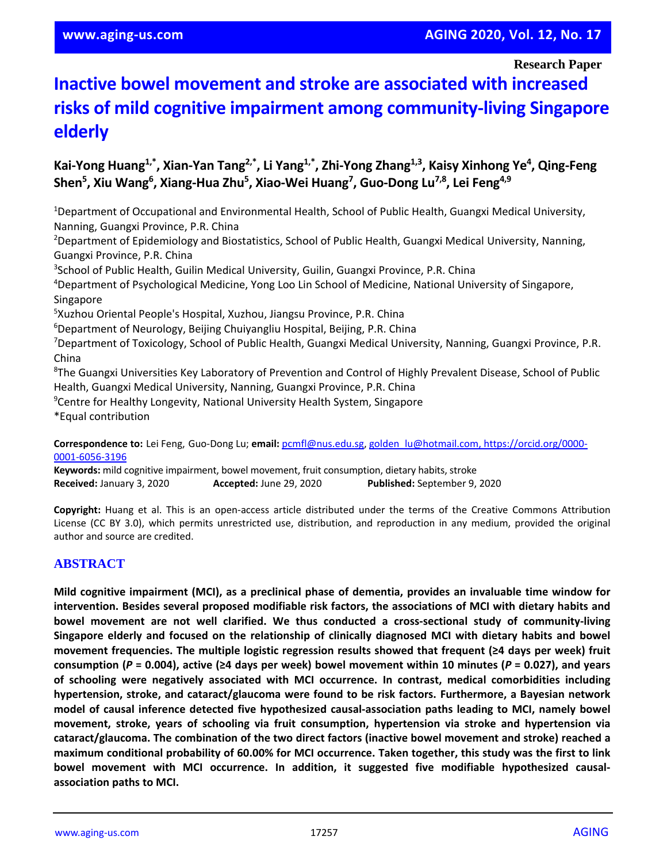**Research Paper**

# **Inactive bowel movement and stroke are associated with increased risks of mild cognitive impairment among community-living Singapore elderly**

# **Kai-Yong Huang1,\*, Xian-Yan Tang2,\*, Li Yang1,\*, Zhi-Yong Zhang1,3, Kaisy Xinhong Ye<sup>4</sup> , Qing-Feng Shen<sup>5</sup> , Xiu Wang<sup>6</sup> , Xiang-Hua Zhu<sup>5</sup> , Xiao-Wei Huang<sup>7</sup> , Guo-Dong Lu7,8, Lei Feng4,9**

<sup>1</sup>Department of Occupational and Environmental Health, School of Public Health, Guangxi Medical University, Nanning, Guangxi Province, P.R. China

<sup>2</sup>Department of Epidemiology and Biostatistics, School of Public Health, Guangxi Medical University, Nanning, Guangxi Province, P.R. China

<sup>3</sup>School of Public Health, Guilin Medical University, Guilin, Guangxi Province, P.R. China

<sup>4</sup>Department of Psychological Medicine, Yong Loo Lin School of Medicine, National University of Singapore, Singapore

<sup>5</sup>Xuzhou Oriental People's Hospital, Xuzhou, Jiangsu Province, P.R. China

<sup>6</sup>Department of Neurology, Beijing Chuiyangliu Hospital, Beijing, P.R. China

<sup>7</sup>Department of Toxicology, School of Public Health, Guangxi Medical University, Nanning, Guangxi Province, P.R. China

<sup>8</sup>The Guangxi Universities Key Laboratory of Prevention and Control of Highly Prevalent Disease, School of Public Health, Guangxi Medical University, Nanning, Guangxi Province, P.R. China

<sup>9</sup>Centre for Healthy Longevity, National University Health System, Singapore

\*Equal contribution

**Correspondence to:** Lei Feng, Guo-Dong Lu; **email:** [pcmfl@nus.edu.sg,](mailto:pcmfl@nus.edu.sg) [golden\\_lu@hotmail.com,](mailto:golden_lu@hotmail.com) [https://orcid.org/0000-](https://orcid.org/0000-0001-6056-3196) [0001-6056-3196](https://orcid.org/0000-0001-6056-3196)

**Keywords:** mild cognitive impairment, bowel movement, fruit consumption, dietary habits, stroke **Received:** January 3, 2020 **Accepted:** June 29, 2020 **Published:** September 9, 2020

**Copyright:** Huang et al. This is an open-access article distributed under the terms of the Creative Commons Attribution License (CC BY 3.0), which permits unrestricted use, distribution, and reproduction in any medium, provided the original author and source are credited.

## **ABSTRACT**

**Mild cognitive impairment (MCI), as a preclinical phase of dementia, provides an invaluable time window for intervention. Besides several proposed modifiable risk factors, the associations of MCI with dietary habits and bowel movement are not well clarified. We thus conducted a cross-sectional study of community-living Singapore elderly and focused on the relationship of clinically diagnosed MCI with dietary habits and bowel movement frequencies. The multiple logistic regression results showed that frequent (≥4 days per week) fruit** consumption (P = 0.004), active ( $\geq 4$  days per week) bowel movement within 10 minutes (P = 0.027), and years **of schooling were negatively associated with MCI occurrence. In contrast, medical comorbidities including hypertension, stroke, and cataract/glaucoma were found to be risk factors. Furthermore, a Bayesian network model of causal inference detected five hypothesized causal-association paths leading to MCI, namely bowel movement, stroke, years of schooling via fruit consumption, hypertension via stroke and hypertension via cataract/glaucoma. The combination of the two direct factors (inactive bowel movement and stroke) reached a** maximum conditional probability of 60.00% for MCI occurrence. Taken together, this study was the first to link **bowel movement with MCI occurrence. In addition, it suggested five modifiable hypothesized causalassociation paths to MCI.**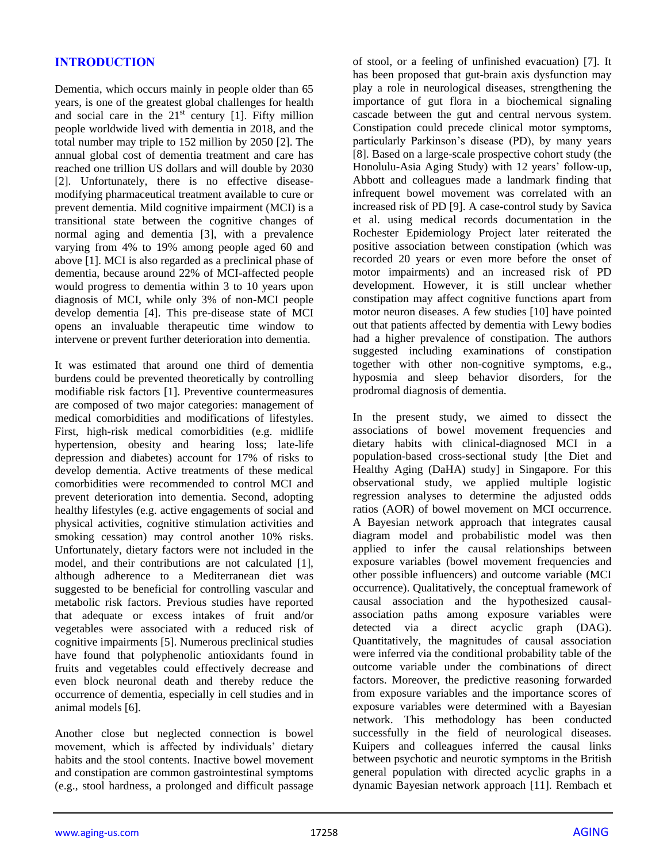## **INTRODUCTION**

Dementia, which occurs mainly in people older than 65 years, is one of the greatest global challenges for health and social care in the  $21<sup>st</sup>$  century [1]. Fifty million people worldwide lived with dementia in 2018, and the total number may triple to 152 million by 2050 [2]. The annual global cost of dementia treatment and care has reached one trillion US dollars and will double by 2030 [2]. Unfortunately, there is no effective diseasemodifying pharmaceutical treatment available to cure or prevent dementia. Mild cognitive impairment (MCI) is a transitional state between the cognitive changes of normal aging and dementia [3], with a prevalence varying from 4% to 19% among people aged 60 and above [1]. MCI is also regarded as a preclinical phase of dementia, because around 22% of MCI-affected people would progress to dementia within 3 to 10 years upon diagnosis of MCI, while only 3% of non-MCI people develop dementia [4]. This pre-disease state of MCI opens an invaluable therapeutic time window to intervene or prevent further deterioration into dementia.

It was estimated that around one third of dementia burdens could be prevented theoretically by controlling modifiable risk factors [1]. Preventive countermeasures are composed of two major categories: management of medical comorbidities and modifications of lifestyles. First, high-risk medical comorbidities (e.g. midlife hypertension, obesity and hearing loss; late-life depression and diabetes) account for 17% of risks to develop dementia. Active treatments of these medical comorbidities were recommended to control MCI and prevent deterioration into dementia. Second, adopting healthy lifestyles (e.g. active engagements of social and physical activities, cognitive stimulation activities and smoking cessation) may control another 10% risks. Unfortunately, dietary factors were not included in the model, and their contributions are not calculated [1], although adherence to a Mediterranean diet was suggested to be beneficial for controlling vascular and metabolic risk factors. Previous studies have reported that adequate or excess intakes of fruit and/or vegetables were associated with a reduced risk of cognitive impairments [5]. Numerous preclinical studies have found that polyphenolic antioxidants found in fruits and vegetables could effectively decrease and even block neuronal death and thereby reduce the occurrence of dementia, especially in cell studies and in animal models [6].

Another close but neglected connection is bowel movement, which is affected by individuals' dietary habits and the stool contents. Inactive bowel movement and constipation are common gastrointestinal symptoms (e.g., stool hardness, a prolonged and difficult passage of stool, or a feeling of unfinished evacuation) [7]. It has been proposed that gut-brain axis dysfunction may play a role in neurological diseases, strengthening the importance of gut flora in a biochemical signaling cascade between the gut and central nervous system. Constipation could precede clinical motor symptoms, particularly Parkinson's disease (PD), by many years [8]. Based on a large-scale prospective cohort study (the Honolulu-Asia Aging Study) with 12 years' follow-up, Abbott and colleagues made a landmark finding that infrequent bowel movement was correlated with an increased risk of PD [9]. A case-control study by Savica et al. using medical records documentation in the Rochester Epidemiology Project later reiterated the positive association between constipation (which was recorded 20 years or even more before the onset of motor impairments) and an increased risk of PD development. However, it is still unclear whether constipation may affect cognitive functions apart from motor neuron diseases. A few studies [10] have pointed out that patients affected by dementia with Lewy bodies had a higher prevalence of constipation. The authors suggested including examinations of constipation together with other non-cognitive symptoms, e.g., hyposmia and sleep behavior disorders, for the prodromal diagnosis of dementia.

In the present study, we aimed to dissect the associations of bowel movement frequencies and dietary habits with clinical-diagnosed MCI in a population-based cross-sectional study [the Diet and Healthy Aging (DaHA) study] in Singapore. For this observational study, we applied multiple logistic regression analyses to determine the adjusted odds ratios (AOR) of bowel movement on MCI occurrence. A Bayesian network approach that integrates causal diagram model and probabilistic model was then applied to infer the causal relationships between exposure variables (bowel movement frequencies and other possible influencers) and outcome variable (MCI occurrence). Qualitatively, the conceptual framework of causal association and the hypothesized causalassociation paths among exposure variables were detected via a direct acyclic graph (DAG). Quantitatively, the magnitudes of causal association were inferred via the conditional probability table of the outcome variable under the combinations of direct factors. Moreover, the predictive reasoning forwarded from exposure variables and the importance scores of exposure variables were determined with a Bayesian network. This methodology has been conducted successfully in the field of neurological diseases. Kuipers and colleagues inferred the causal links between psychotic and neurotic symptoms in the British general population with directed acyclic graphs in a dynamic Bayesian network approach [11]. Rembach et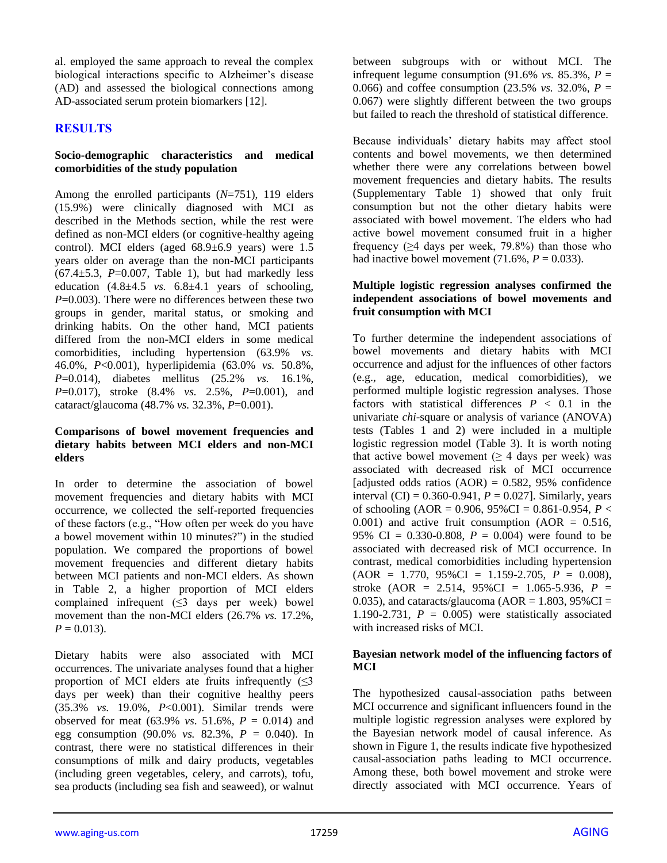al. employed the same approach to reveal the complex biological interactions specific to Alzheimer's disease (AD) and assessed the biological connections among AD-associated serum protein biomarkers [12].

#### **RESULTS**

#### **Socio-demographic characteristics and medical comorbidities of the study population**

Among the enrolled participants (*N*=751), 119 elders (15.9%) were clinically diagnosed with MCI as described in the Methods section, while the rest were defined as non-MCI elders (or cognitive-healthy ageing control). MCI elders (aged 68.9±6.9 years) were 1.5 years older on average than the non-MCI participants  $(67.4 \pm 5.3, P = 0.007,$  Table 1), but had markedly less education  $(4.8\pm4.5 \text{ vs. } 6.8\pm4.1 \text{ years of schooling})$ *P*=0.003). There were no differences between these two groups in gender, marital status, or smoking and drinking habits. On the other hand, MCI patients differed from the non-MCI elders in some medical comorbidities, including hypertension (63.9% *vs.* 46.0%, *P*<0.001), hyperlipidemia (63.0% *vs.* 50.8%, *P*=0.014), diabetes mellitus (25.2% *vs.* 16.1%, *P*=0.017), stroke (8.4% *vs.* 2.5%, *P*=0.001), and cataract/glaucoma (48.7% *vs.* 32.3%, *P*=0.001).

#### **Comparisons of bowel movement frequencies and dietary habits between MCI elders and non-MCI elders**

In order to determine the association of bowel movement frequencies and dietary habits with MCI occurrence, we collected the self-reported frequencies of these factors (e.g., "How often per week do you have a bowel movement within 10 minutes?") in the studied population. We compared the proportions of bowel movement frequencies and different dietary habits between MCI patients and non-MCI elders. As shown in Table 2, a higher proportion of MCI elders complained infrequent (≤3 days per week) bowel movement than the non-MCI elders (26.7% *vs.* 17.2%,  $P = 0.013$ .

Dietary habits were also associated with MCI occurrences. The univariate analyses found that a higher proportion of MCI elders ate fruits infrequently  $(\leq)$ days per week) than their cognitive healthy peers (35.3% *vs.* 19.0%, *P*<0.001). Similar trends were observed for meat (63.9% *vs*. 51.6%, *P* = 0.014) and egg consumption (90.0% *vs.* 82.3%, *P* = 0.040). In contrast, there were no statistical differences in their consumptions of milk and dairy products, vegetables (including green vegetables, celery, and carrots), tofu, sea products (including sea fish and seaweed), or walnut

between subgroups with or without MCI. The infrequent legume consumption (91.6% *vs.* 85.3%,  $P =$ 0.066) and coffee consumption  $(23.5\% \text{ vs. } 32.0\% \text{ , } P =$ 0.067) were slightly different between the two groups but failed to reach the threshold of statistical difference.

Because individuals' dietary habits may affect stool contents and bowel movements, we then determined whether there were any correlations between bowel movement frequencies and dietary habits. The results (Supplementary Table 1) showed that only fruit consumption but not the other dietary habits were associated with bowel movement. The elders who had active bowel movement consumed fruit in a higher frequency  $(≥4$  days per week, 79.8%) than those who had inactive bowel movement  $(71.6\%, P = 0.033)$ .

#### **Multiple logistic regression analyses confirmed the independent associations of bowel movements and fruit consumption with MCI**

To further determine the independent associations of bowel movements and dietary habits with MCI occurrence and adjust for the influences of other factors (e.g., age, education, medical comorbidities), we performed multiple logistic regression analyses. Those factors with statistical differences  $P < 0.1$  in the univariate *chi*-square or analysis of variance (ANOVA) tests (Tables 1 and 2) were included in a multiple logistic regression model (Table 3). It is worth noting that active bowel movement ( $\geq$  4 days per week) was associated with decreased risk of MCI occurrence [adjusted odds ratios  $(AOR) = 0.582, 95\%$  confidence interval  $(CI) = 0.360 - 0.941$ ,  $P = 0.027$ ]. Similarly, years of schooling (AOR = 0.906,  $95\%$ CI = 0.861-0.954, *P* <  $0.001$ ) and active fruit consumption (AOR = 0.516, 95% CI =  $0.330 - 0.808$ ,  $P = 0.004$ ) were found to be associated with decreased risk of MCI occurrence. In contrast, medical comorbidities including hypertension  $(AOR = 1.770, 95\% CI = 1.159-2.705, P = 0.008),$ stroke (AOR = 2.514, 95%CI = 1.065-5.936, *P* = 0.035), and cataracts/glaucoma ( $AOR = 1.803$ ,  $95\%CI =$ 1.190-2.731,  $P = 0.005$  were statistically associated with increased risks of MCI.

#### **Bayesian network model of the influencing factors of MCI**

The hypothesized causal-association paths between MCI occurrence and significant influencers found in the multiple logistic regression analyses were explored by the Bayesian network model of causal inference. As shown in Figure 1, the results indicate five hypothesized causal-association paths leading to MCI occurrence. Among these, both bowel movement and stroke were directly associated with MCI occurrence. Years of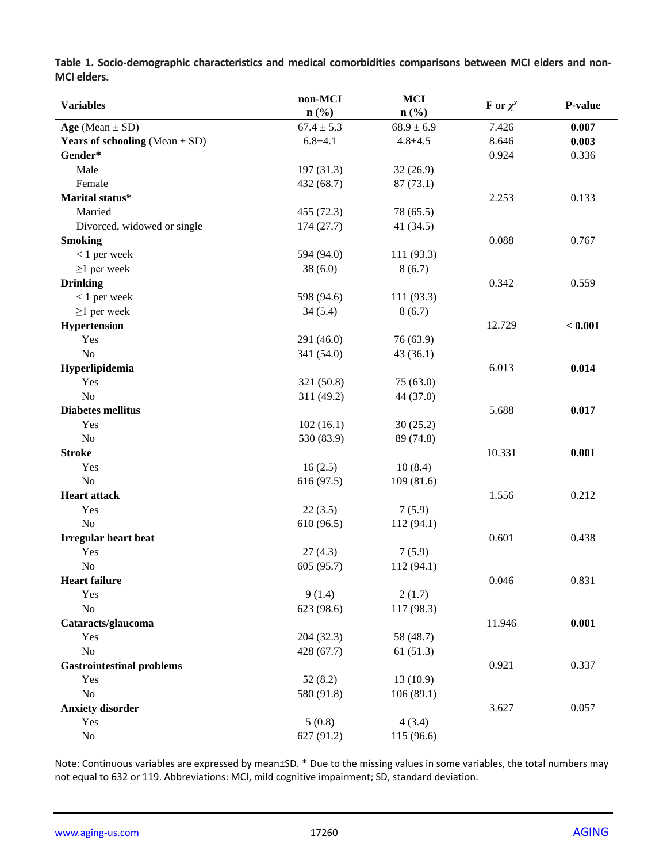|                                           | non-MCI                     | <b>MCI</b>     |               |         |
|-------------------------------------------|-----------------------------|----------------|---------------|---------|
| <b>Variables</b>                          | $n\left(\frac{0}{0}\right)$ | $n$ (%)        | F or $\chi^2$ | P-value |
| Age (Mean $\pm$ SD)                       | $67.4 \pm 5.3$              | $68.9 \pm 6.9$ | 7.426         | 0.007   |
| <b>Years of schooling</b> (Mean $\pm$ SD) | $6.8 + 4.1$                 | $4.8 + 4.5$    | 8.646         | 0.003   |
| Gender*                                   |                             |                | 0.924         | 0.336   |
| Male                                      | 197(31.3)                   | 32(26.9)       |               |         |
| Female                                    | 432 (68.7)                  | 87(73.1)       |               |         |
| Marital status*                           |                             |                | 2.253         | 0.133   |
| Married                                   | 455 (72.3)                  | 78 (65.5)      |               |         |
| Divorced, widowed or single               | 174(27.7)                   | 41 (34.5)      |               |         |
| <b>Smoking</b>                            |                             |                | 0.088         | 0.767   |
| $< 1$ per week                            | 594 (94.0)                  | 111 (93.3)     |               |         |
| $\geq$ 1 per week                         | 38(6.0)                     | 8(6.7)         |               |         |
| <b>Drinking</b>                           |                             |                | 0.342         | 0.559   |
| $< 1$ per week                            | 598 (94.6)                  | 111 (93.3)     |               |         |
| $\geq$ 1 per week                         | 34(5.4)                     | 8(6.7)         |               |         |
| Hypertension                              |                             |                | 12.729        | < 0.001 |
| Yes                                       | 291 (46.0)                  | 76 (63.9)      |               |         |
| No                                        | 341 (54.0)                  | 43(36.1)       |               |         |
| Hyperlipidemia                            |                             |                | 6.013         | 0.014   |
| Yes                                       | 321 (50.8)                  | 75(63.0)       |               |         |
| No                                        | 311 (49.2)                  | 44 (37.0)      |               |         |
| <b>Diabetes mellitus</b>                  |                             |                | 5.688         | 0.017   |
| Yes                                       | 102(16.1)                   | 30(25.2)       |               |         |
| No                                        | 530 (83.9)                  | 89 (74.8)      |               |         |
| <b>Stroke</b>                             |                             |                | 10.331        | 0.001   |
| Yes                                       | 16(2.5)                     | 10(8.4)        |               |         |
| No                                        | 616 (97.5)                  | 109(81.6)      |               |         |
| <b>Heart attack</b>                       |                             |                | 1.556         | 0.212   |
| Yes                                       | 22(3.5)                     | 7(5.9)         |               |         |
| No                                        | 610 (96.5)                  | 112 (94.1)     |               |         |
| <b>Irregular heart beat</b>               |                             |                | 0.601         | 0.438   |
| Yes                                       | 27(4.3)                     | 7(5.9)         |               |         |
| $\rm No$                                  | 605 (95.7)                  | 112 (94.1)     |               |         |
| <b>Heart failure</b>                      |                             |                | 0.046         | 0.831   |
| Yes                                       | 9(1.4)                      | 2(1.7)         |               |         |
| No                                        | 623 (98.6)                  | 117 (98.3)     |               |         |
| Cataracts/glaucoma                        |                             |                | 11.946        | 0.001   |
| Yes                                       | 204 (32.3)                  | 58 (48.7)      |               |         |
| No                                        | 428 (67.7)                  | 61(51.3)       |               |         |
| <b>Gastrointestinal problems</b>          |                             |                | 0.921         | 0.337   |
| Yes                                       | 52(8.2)                     | 13(10.9)       |               |         |
| No                                        | 580 (91.8)                  | 106(89.1)      |               |         |
| <b>Anxiety disorder</b>                   |                             |                | 3.627         | 0.057   |
| Yes                                       | 5(0.8)                      | 4(3.4)         |               |         |
| No                                        | 627 (91.2)                  | 115 (96.6)     |               |         |

**Table 1. Socio-demographic characteristics and medical comorbidities comparisons between MCI elders and non-MCI elders.**

Note: Continuous variables are expressed by mean±SD. \* Due to the missing values in some variables, the total numbers may not equal to 632 or 119. Abbreviations: MCI, mild cognitive impairment; SD, standard deviation.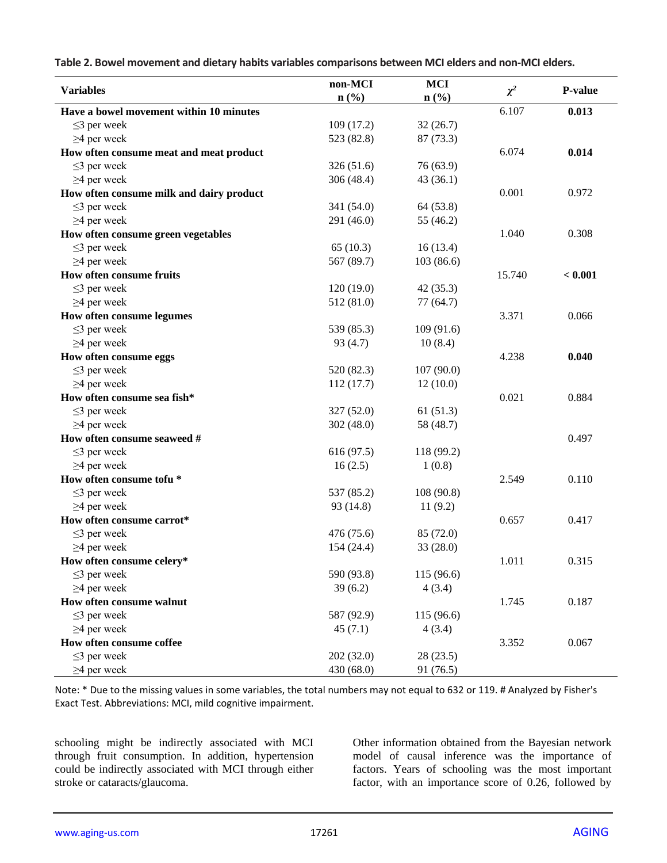**Table 2. Bowel movement and dietary habits variables comparisons between MCI elders and non-MCI elders.**

|                                          | non-MCI                     | <b>MCI</b> |          |         |
|------------------------------------------|-----------------------------|------------|----------|---------|
| <b>Variables</b>                         | $n\left(\frac{0}{0}\right)$ | n(%)       | $\chi^2$ | P-value |
| Have a bowel movement within 10 minutes  |                             |            | 6.107    | 0.013   |
| $\leq$ 3 per week                        | 109(17.2)                   | 32(26.7)   |          |         |
| $\geq$ 4 per week                        | 523 (82.8)                  | 87 (73.3)  |          |         |
| How often consume meat and meat product  |                             |            | 6.074    | 0.014   |
| $\leq$ 3 per week                        | 326(51.6)                   | 76 (63.9)  |          |         |
| $\geq$ 4 per week                        | 306 (48.4)                  | 43(36.1)   |          |         |
| How often consume milk and dairy product |                             |            | 0.001    | 0.972   |
| $\leq$ 3 per week                        | 341 (54.0)                  | 64 (53.8)  |          |         |
| $\geq$ 4 per week                        | 291 (46.0)                  | 55 (46.2)  |          |         |
| How often consume green vegetables       |                             |            | 1.040    | 0.308   |
| $\leq$ 3 per week                        | 65(10.3)                    | 16(13.4)   |          |         |
| $\geq$ 4 per week                        | 567 (89.7)                  | 103(86.6)  |          |         |
| How often consume fruits                 |                             |            | 15.740   | < 0.001 |
| $\leq$ 3 per week                        | 120(19.0)                   | 42(35.3)   |          |         |
| $\geq$ 4 per week                        | 512 (81.0)                  | 77 (64.7)  |          |         |
| How often consume legumes                |                             |            | 3.371    | 0.066   |
| $\leq$ 3 per week                        | 539 (85.3)                  | 109 (91.6) |          |         |
| $\geq$ 4 per week                        | 93(4.7)                     | 10(8.4)    |          |         |
| How often consume eggs                   |                             |            | 4.238    | 0.040   |
| $\leq$ 3 per week                        | 520 (82.3)                  | 107(90.0)  |          |         |
| $\geq$ 4 per week                        | 112(17.7)                   | 12(10.0)   |          |         |
| How often consume sea fish*              |                             |            | 0.021    | 0.884   |
| $\leq$ 3 per week                        | 327 (52.0)                  | 61(51.3)   |          |         |
| $\geq$ 4 per week                        | 302(48.0)                   | 58 (48.7)  |          |         |
| How often consume seaweed #              |                             |            |          | 0.497   |
| $\leq$ 3 per week                        | 616 (97.5)                  | 118 (99.2) |          |         |
| $\geq$ 4 per week                        | 16(2.5)                     | 1(0.8)     |          |         |
| How often consume tofu *                 |                             |            | 2.549    | 0.110   |
| $\leq$ 3 per week                        | 537 (85.2)                  | 108 (90.8) |          |         |
| $\geq$ 4 per week                        | 93 (14.8)                   | 11(9.2)    |          |         |
| How often consume carrot*                |                             |            | 0.657    | 0.417   |
| $\leq$ 3 per week                        | 476 (75.6)                  | 85 (72.0)  |          |         |
| $\geq$ 4 per week                        | 154 (24.4)                  | 33 (28.0)  |          |         |
| How often consume celery*                |                             |            | 1.011    | 0.315   |
| $\leq$ 3 per week                        | 590 (93.8)                  | 115 (96.6) |          |         |
| $\geq$ 4 per week                        | 39(6.2)                     | 4(3.4)     |          |         |
| How often consume walnut                 |                             |            | 1.745    | 0.187   |
| $\leq$ 3 per week                        | 587 (92.9)                  | 115 (96.6) |          |         |
| $\geq$ 4 per week                        | 45(7.1)                     | 4(3.4)     |          |         |
| How often consume coffee                 |                             |            | 3.352    | 0.067   |
| $\leq$ 3 per week                        | 202 (32.0)                  | 28(23.5)   |          |         |
| $\geq$ 4 per week                        | 430 (68.0)                  | 91 (76.5)  |          |         |

Note: \* Due to the missing values in some variables, the total numbers may not equal to 632 or 119. # Analyzed by Fisher's Exact Test. Abbreviations: MCI, mild cognitive impairment.

schooling might be indirectly associated with MCI through fruit consumption. In addition, hypertension could be indirectly associated with MCI through either stroke or cataracts/glaucoma.

Other information obtained from the Bayesian network model of causal inference was the importance of factors. Years of schooling was the most important factor, with an importance score of 0.26, followed by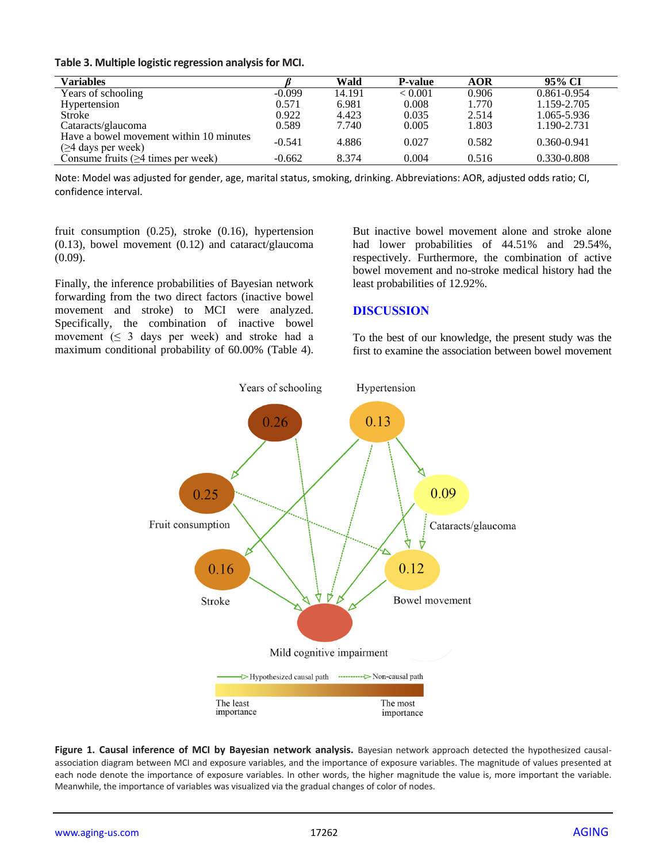|  | Table 3. Multiple logistic regression analysis for MCI. |  |
|--|---------------------------------------------------------|--|
|--|---------------------------------------------------------|--|

| <b>Variables</b>                                                    |          | Wald   | <b>P-value</b> | <b>AOR</b> | 95% CI          |
|---------------------------------------------------------------------|----------|--------|----------------|------------|-----------------|
| Years of schooling                                                  | $-0.099$ | 14.191 | < 0.001        | 0.906      | $0.861 - 0.954$ |
| Hypertension                                                        | 0.571    | 6.981  | 0.008          | 1.770      | 1.159-2.705     |
| Stroke                                                              | 0.922    | 4.423  | 0.035          | 2.514      | 1.065-5.936     |
| Cataracts/glaucoma                                                  | 0.589    | 7.740  | 0.005          | 1.803      | 1.190-2.731     |
| Have a bowel movement within 10 minutes<br>$(\geq 4$ days per week) | $-0.541$ | 4.886  | 0.027          | 0.582      | $0.360 - 0.941$ |
| Consume fruits $(\geq 4$ times per week)                            | $-0.662$ | 8.374  | 0.004          | 0.516      | 0.330-0.808     |

Note: Model was adjusted for gender, age, marital status, smoking, drinking. Abbreviations: AOR, adjusted odds ratio; CI, confidence interval.

fruit consumption (0.25), stroke (0.16), hypertension (0.13), bowel movement (0.12) and cataract/glaucoma (0.09).

Finally, the inference probabilities of Bayesian network forwarding from the two direct factors (inactive bowel movement and stroke) to MCI were analyzed. Specifically, the combination of inactive bowel movement  $( \leq 3$  days per week) and stroke had a maximum conditional probability of 60.00% (Table 4). But inactive bowel movement alone and stroke alone had lower probabilities of 44.51% and 29.54%, respectively. Furthermore, the combination of active bowel movement and no-stroke medical history had the least probabilities of 12.92%.

#### **DISCUSSION**

To the best of our knowledge, the present study was the first to examine the association between bowel movement



**Figure 1. Causal inference of MCI by Bayesian network analysis.** Bayesian network approach detected the hypothesized causalassociation diagram between MCI and exposure variables, and the importance of exposure variables. The magnitude of values presented at each node denote the importance of exposure variables. In other words, the higher magnitude the value is, more important the variable. Meanwhile, the importance of variables was visualized via the gradual changes of color of nodes.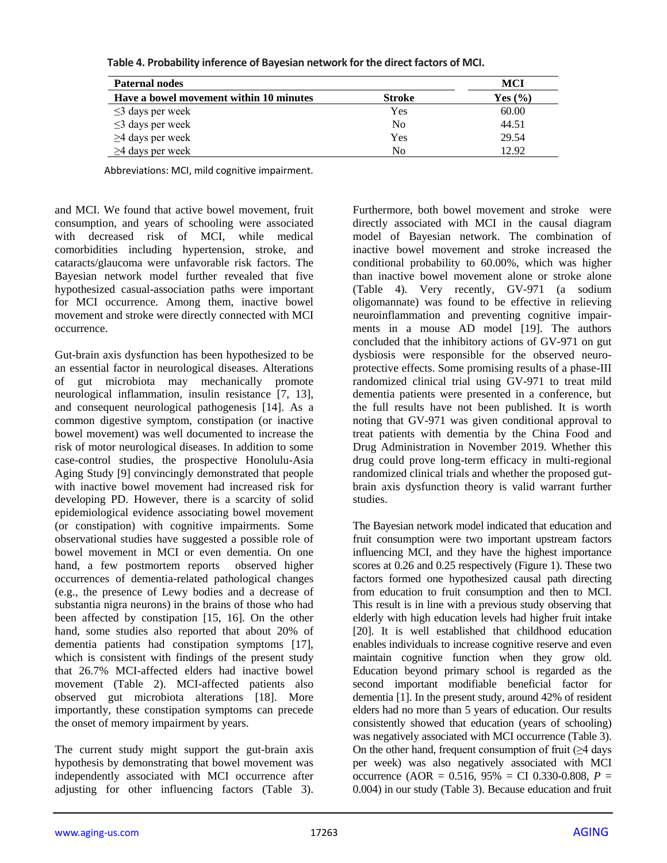| <b>Paternal nodes</b>                   | MCI            |             |
|-----------------------------------------|----------------|-------------|
| Have a bowel movement within 10 minutes | <b>Stroke</b>  | Yes $(\% )$ |
| $\leq$ 3 days per week                  | Yes            | 60.00       |
| $\leq$ 3 days per week                  | N <sub>0</sub> | 44.51       |
| $\geq$ 4 days per week                  | Yes            | 29.54       |
| $\geq$ 4 days per week                  | No             | 12.92       |

**Table 4. Probability inference of Bayesian network for the direct factors of MCI.**

Abbreviations: MCI, mild cognitive impairment.

and MCI. We found that active bowel movement, fruit consumption, and years of schooling were associated with decreased risk of MCI, while medical comorbidities including hypertension, stroke, and cataracts/glaucoma were unfavorable risk factors. The Bayesian network model further revealed that five hypothesized casual-association paths were important for MCI occurrence. Among them, inactive bowel movement and stroke were directly connected with MCI occurrence.

Gut-brain axis dysfunction has been hypothesized to be an essential factor in neurological diseases. Alterations of gut microbiota may mechanically promote neurological inflammation, insulin resistance [7, 13], and consequent neurological pathogenesis [14]. As a common digestive symptom, constipation (or inactive bowel movement) was well documented to increase the risk of motor neurological diseases. In addition to some case-control studies, the prospective Honolulu-Asia Aging Study [9] convincingly demonstrated that people with inactive bowel movement had increased risk for developing PD. However, there is a scarcity of solid epidemiological evidence associating bowel movement (or constipation) with cognitive impairments. Some observational studies have suggested a possible role of bowel movement in MCI or even dementia. On one hand, a few postmortem reports observed higher occurrences of dementia-related pathological changes (e.g., the presence of Lewy bodies and a decrease of substantia nigra neurons) in the brains of those who had been affected by constipation [15, 16]. On the other hand, some studies also reported that about 20% of dementia patients had constipation symptoms [17], which is consistent with findings of the present study that 26.7% MCI-affected elders had inactive bowel movement (Table 2). MCI-affected patients also observed gut microbiota alterations [18]. More importantly, these constipation symptoms can precede the onset of memory impairment by years.

The current study might support the gut-brain axis hypothesis by demonstrating that bowel movement was independently associated with MCI occurrence after adjusting for other influencing factors (Table 3). Furthermore, both bowel movement and stroke were directly associated with MCI in the causal diagram model of Bayesian network. The combination of inactive bowel movement and stroke increased the conditional probability to 60.00%, which was higher than inactive bowel movement alone or stroke alone (Table 4). Very recently, GV-971 (a sodium oligomannate) was found to be effective in relieving neuroinflammation and preventing cognitive impairments in a mouse AD model [19]. The authors concluded that the inhibitory actions of GV-971 on gut dysbiosis were responsible for the observed neuroprotective effects. Some promising results of a phase-III randomized clinical trial using GV-971 to treat mild dementia patients were presented in a conference, but the full results have not been published. It is worth noting that GV-971 was given conditional approval to treat patients with dementia by the China Food and Drug Administration in November 2019. Whether this drug could prove long-term efficacy in multi-regional randomized clinical trials and whether the proposed gutbrain axis dysfunction theory is valid warrant further studies.

The Bayesian network model indicated that education and fruit consumption were two important upstream factors influencing MCI, and they have the highest importance scores at 0.26 and 0.25 respectively (Figure 1). These two factors formed one hypothesized causal path directing from education to fruit consumption and then to MCI. This result is in line with a previous study observing that elderly with high education levels had higher fruit intake [20]. It is well established that childhood education enables individuals to increase cognitive reserve and even maintain cognitive function when they grow old. Education beyond primary school is regarded as the second important modifiable beneficial factor for dementia [1]. In the present study, around 42% of resident elders had no more than 5 years of education. Our results consistently showed that education (years of schooling) was negatively associated with MCI occurrence (Table 3). On the other hand, frequent consumption of fruit  $(\geq 4$  days per week) was also negatively associated with MCI occurrence (AOR = 0.516, 95% = CI 0.330-0.808, *P* = 0.004) in our study (Table 3). Because education and fruit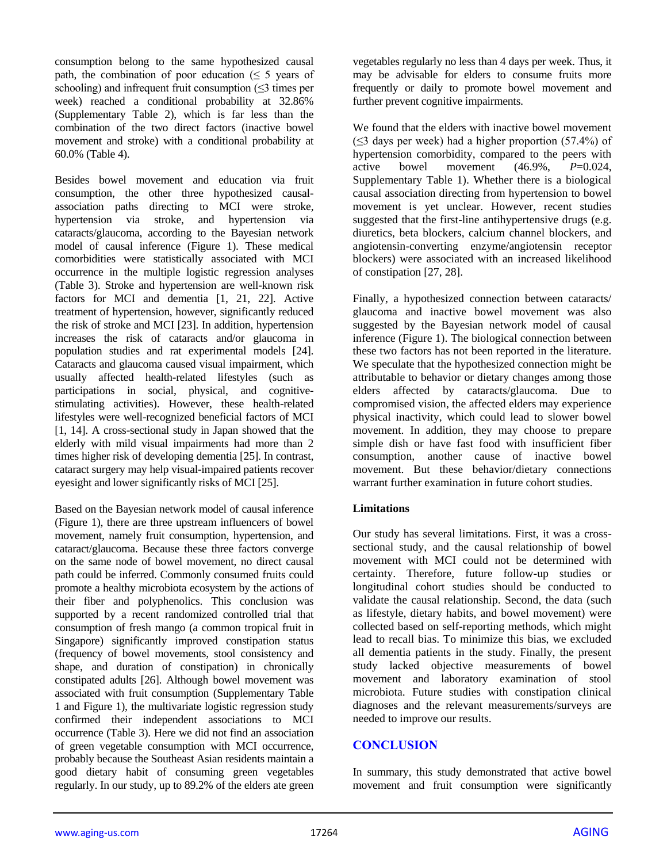consumption belong to the same hypothesized causal path, the combination of poor education ( $\leq 5$  years of schooling) and infrequent fruit consumption (≤3 times per week) reached a conditional probability at 32.86% (Supplementary Table 2), which is far less than the combination of the two direct factors (inactive bowel movement and stroke) with a conditional probability at 60.0% (Table 4).

Besides bowel movement and education via fruit consumption, the other three hypothesized causalassociation paths directing to MCI were stroke, hypertension via stroke, and hypertension via cataracts/glaucoma, according to the Bayesian network model of causal inference (Figure 1). These medical comorbidities were statistically associated with MCI occurrence in the multiple logistic regression analyses (Table 3). Stroke and hypertension are well-known risk factors for MCI and dementia [1, 21, 22]. Active treatment of hypertension, however, significantly reduced the risk of stroke and MCI [23]. In addition, hypertension increases the risk of cataracts and/or glaucoma in population studies and rat experimental models [24]. Cataracts and glaucoma caused visual impairment, which usually affected health-related lifestyles (such as participations in social, physical, and cognitivestimulating activities). However, these health-related lifestyles were well-recognized beneficial factors of MCI [1, 14]. A cross-sectional study in Japan showed that the elderly with mild visual impairments had more than 2 times higher risk of developing dementia [25]. In contrast, cataract surgery may help visual-impaired patients recover eyesight and lower significantly risks of MCI [25].

Based on the Bayesian network model of causal inference (Figure 1), there are three upstream influencers of bowel movement, namely fruit consumption, hypertension, and cataract/glaucoma. Because these three factors converge on the same node of bowel movement, no direct causal path could be inferred. Commonly consumed fruits could promote a healthy microbiota ecosystem by the actions of their fiber and polyphenolics. This conclusion was supported by a recent randomized controlled trial that consumption of fresh mango (a common tropical fruit in Singapore) significantly improved constipation status (frequency of bowel movements, stool consistency and shape, and duration of constipation) in chronically constipated adults [26]. Although bowel movement was associated with fruit consumption (Supplementary Table 1 and Figure 1), the multivariate logistic regression study confirmed their independent associations to MCI occurrence (Table 3). Here we did not find an association of green vegetable consumption with MCI occurrence, probably because the Southeast Asian residents maintain a good dietary habit of consuming green vegetables regularly. In our study, up to 89.2% of the elders ate green

vegetables regularly no less than 4 days per week. Thus, it may be advisable for elders to consume fruits more frequently or daily to promote bowel movement and further prevent cognitive impairments.

We found that the elders with inactive bowel movement  $(\leq$ 3 days per week) had a higher proportion (57.4%) of hypertension comorbidity, compared to the peers with active bowel movement (46.9%, *P*=0.024, Supplementary Table 1). Whether there is a biological causal association directing from hypertension to bowel movement is yet unclear. However, recent studies suggested that the first-line antihypertensive drugs (e.g. diuretics, beta blockers, calcium channel blockers, and angiotensin-converting enzyme/angiotensin receptor blockers) were associated with an increased likelihood of constipation [27, 28].

Finally, a hypothesized connection between cataracts/ glaucoma and inactive bowel movement was also suggested by the Bayesian network model of causal inference (Figure 1). The biological connection between these two factors has not been reported in the literature. We speculate that the hypothesized connection might be attributable to behavior or dietary changes among those elders affected by cataracts/glaucoma. Due to compromised vision, the affected elders may experience physical inactivity, which could lead to slower bowel movement. In addition, they may choose to prepare simple dish or have fast food with insufficient fiber consumption, another cause of inactive bowel movement. But these behavior/dietary connections warrant further examination in future cohort studies.

#### **Limitations**

Our study has several limitations. First, it was a crosssectional study, and the causal relationship of bowel movement with MCI could not be determined with certainty. Therefore, future follow-up studies or longitudinal cohort studies should be conducted to validate the causal relationship. Second, the data (such as lifestyle, dietary habits, and bowel movement) were collected based on self-reporting methods, which might lead to recall bias. To minimize this bias, we excluded all dementia patients in the study. Finally, the present study lacked objective measurements of bowel movement and laboratory examination of stool microbiota. Future studies with constipation clinical diagnoses and the relevant measurements/surveys are needed to improve our results.

#### **CONCLUSION**

In summary, this study demonstrated that active bowel movement and fruit consumption were significantly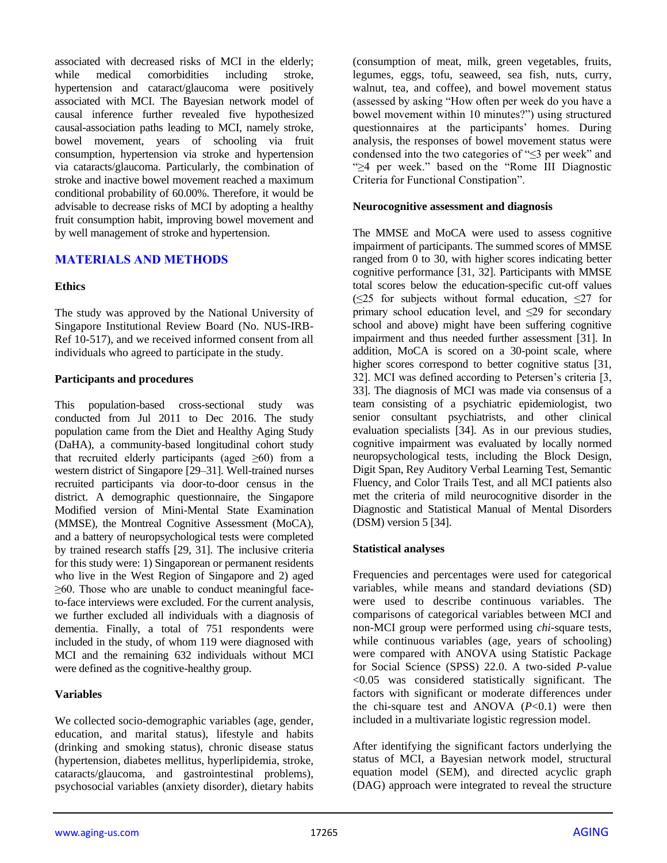associated with decreased risks of MCI in the elderly; while medical comorbidities including stroke, hypertension and cataract/glaucoma were positively associated with MCI. The Bayesian network model of causal inference further revealed five hypothesized causal-association paths leading to MCI, namely stroke, bowel movement, years of schooling via fruit consumption, hypertension via stroke and hypertension via cataracts/glaucoma. Particularly, the combination of stroke and inactive bowel movement reached a maximum conditional probability of 60.00%. Therefore, it would be advisable to decrease risks of MCI by adopting a healthy fruit consumption habit, improving bowel movement and by well management of stroke and hypertension.

## **MATERIALS AND METHODS**

#### **Ethics**

The study was approved by the National University of Singapore Institutional Review Board (No. NUS-IRB-Ref 10-517), and we received informed consent from all individuals who agreed to participate in the study.

#### **Participants and procedures**

This population-based cross-sectional study was conducted from Jul 2011 to Dec 2016. The study population came from the Diet and Healthy Aging Study (DaHA), a community-based longitudinal cohort study that recruited elderly participants (aged  $\geq 60$ ) from a western district of Singapore [29–31]. Well-trained nurses recruited participants via door-to-door census in the district. A demographic questionnaire, the Singapore Modified version of Mini-Mental State Examination (MMSE), the Montreal Cognitive Assessment (MoCA), and a battery of neuropsychological tests were completed by trained research staffs [29, 31]. The inclusive criteria for this study were: 1) Singaporean or permanent residents who live in the West Region of Singapore and 2) aged ≥60. Those who are unable to conduct meaningful faceto-face interviews were excluded. For the current analysis, we further excluded all individuals with a diagnosis of dementia. Finally, a total of 751 respondents were included in the study, of whom 119 were diagnosed with MCI and the remaining 632 individuals without MCI were defined as the cognitive-healthy group.

#### **Variables**

We collected socio-demographic variables (age, gender, education, and marital status), lifestyle and habits (drinking and smoking status), chronic disease status (hypertension, diabetes mellitus, hyperlipidemia, stroke, cataracts/glaucoma, and gastrointestinal problems), psychosocial variables (anxiety disorder), dietary habits (consumption of meat, milk, green vegetables, fruits, legumes, eggs, tofu, seaweed, sea fish, nuts, curry, walnut, tea, and coffee), and bowel movement status (assessed by asking "How often per week do you have a bowel movement within 10 minutes?") using structured questionnaires at the participants' homes. During analysis, the responses of bowel movement status were condensed into the two categories of "≤3 per week" and "≥4 per week." based on the "Rome III Diagnostic Criteria for Functional Constipation".

#### **Neurocognitive assessment and diagnosis**

The MMSE and MoCA were used to assess cognitive impairment of participants. The summed scores of MMSE ranged from 0 to 30, with higher scores indicating better cognitive performance [31, 32]. Participants with MMSE total scores below the education-specific cut-off values  $(\leq 25$  for subjects without formal education,  $\leq 27$  for primary school education level, and  $\leq$ 29 for secondary school and above) might have been suffering cognitive impairment and thus needed further assessment [31]. In addition, MoCA is scored on a 30-point scale, where higher scores correspond to better cognitive status [31, 32]. MCI was defined according to Petersen's criteria [3, 33]. The diagnosis of MCI was made via consensus of a team consisting of a psychiatric epidemiologist, two senior consultant psychiatrists, and other clinical evaluation specialists [34]. As in our previous studies, cognitive impairment was evaluated by locally normed neuropsychological tests, including the Block Design, Digit Span, Rey Auditory Verbal Learning Test, Semantic Fluency, and Color Trails Test, and all MCI patients also met the criteria of mild neurocognitive disorder in the Diagnostic and Statistical Manual of Mental Disorders (DSM) version 5 [34].

#### **Statistical analyses**

Frequencies and percentages were used for categorical variables, while means and standard deviations (SD) were used to describe continuous variables. The comparisons of categorical variables between MCI and non-MCI group were performed using *chi*-square tests, while continuous variables (age, years of schooling) were compared with ANOVA using Statistic Package for Social Science (SPSS) 22.0. A two-sided *P*-value <0.05 was considered statistically significant. The factors with significant or moderate differences under the chi*-*square test and ANOVA (*P*<0.1) were then included in a multivariate logistic regression model.

After identifying the significant factors underlying the status of MCI, a Bayesian network model, structural equation model (SEM), and directed acyclic graph (DAG) approach were integrated to reveal the structure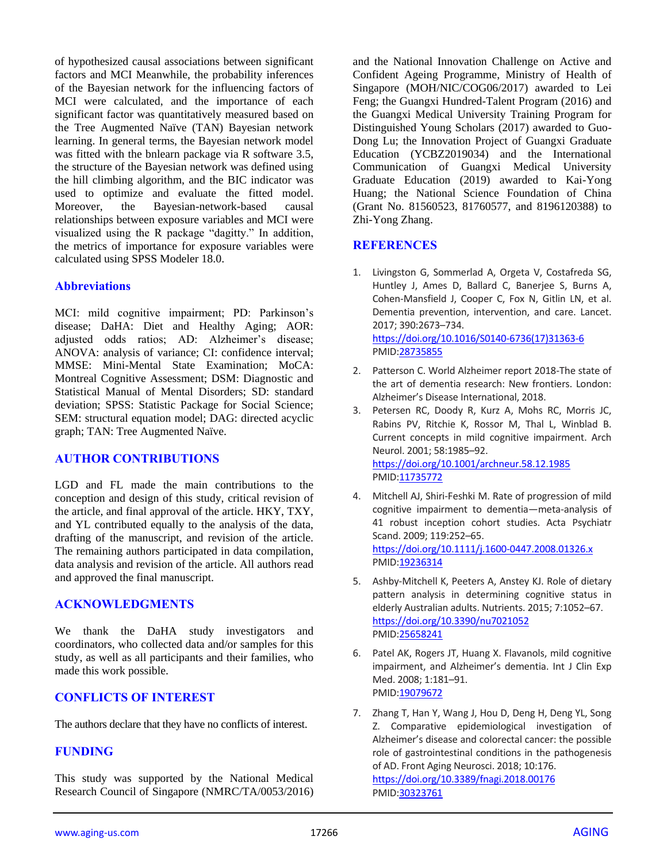of hypothesized causal associations between significant factors and MCI Meanwhile, the probability inferences of the Bayesian network for the influencing factors of MCI were calculated, and the importance of each significant factor was quantitatively measured based on the Tree Augmented Naïve (TAN) Bayesian network learning. In general terms, the Bayesian network model was fitted with the bnlearn package via R software 3.5, the structure of the Bayesian network was defined using the hill climbing algorithm, and the BIC indicator was used to optimize and evaluate the fitted model. Moreover, the Bayesian-network-based causal relationships between exposure variables and MCI were visualized using the R package "dagitty." In addition, the metrics of importance for exposure variables were calculated using SPSS Modeler 18.0.

#### **Abbreviations**

MCI: mild cognitive impairment; PD: Parkinson's disease; DaHA: Diet and Healthy Aging; AOR: adjusted odds ratios; AD: Alzheimer's disease; ANOVA: analysis of variance; CI: confidence interval; MMSE: Mini-Mental State Examination; MoCA: Montreal Cognitive Assessment; DSM: Diagnostic and Statistical Manual of Mental Disorders; SD: standard deviation; SPSS: Statistic Package for Social Science; SEM: structural equation model; DAG: directed acyclic graph; TAN: Tree Augmented Naïve.

#### **AUTHOR CONTRIBUTIONS**

LGD and FL made the main contributions to the conception and design of this study, critical revision of the article, and final approval of the article. HKY, TXY, and YL contributed equally to the analysis of the data, drafting of the manuscript, and revision of the article. The remaining authors participated in data compilation, data analysis and revision of the article. All authors read and approved the final manuscript.

#### **ACKNOWLEDGMENTS**

We thank the DaHA study investigators and coordinators, who collected data and/or samples for this study, as well as all participants and their families, who made this work possible.

#### **CONFLICTS OF INTEREST**

The authors declare that they have no conflicts of interest.

#### **FUNDING**

This study was supported by the National Medical Research Council of Singapore (NMRC/TA/0053/2016) and the National Innovation Challenge on Active and Confident Ageing Programme, Ministry of Health of Singapore (MOH/NIC/COG06/2017) awarded to Lei Feng; the Guangxi Hundred-Talent Program (2016) and the Guangxi Medical University Training Program for Distinguished Young Scholars (2017) awarded to Guo-Dong Lu; the Innovation Project of Guangxi Graduate Education (YCBZ2019034) and the International Communication of Guangxi Medical University Graduate Education (2019) awarded to Kai-Yong Huang; the National Science Foundation of China (Grant No. 81560523, 81760577, and 8196120388) to Zhi-Yong Zhang.

#### **REFERENCES**

- 1. Livingston G, Sommerlad A, Orgeta V, Costafreda SG, Huntley J, Ames D, Ballard C, Banerjee S, Burns A, Cohen-Mansfield J, Cooper C, Fox N, Gitlin LN, et al. Dementia prevention, intervention, and care. Lancet. 2017; 390:2673–734. [https://doi.org/10.1016/S0140-6736\(17\)31363-6](https://doi.org/10.1016/S0140-6736(17)31363-6) PMI[D:28735855](https://pubmed.ncbi.nlm.nih.gov/28735855)
- 2. Patterson C. World Alzheimer report 2018-The state of the art of dementia research: New frontiers. London: Alzheimer's Disease International, 2018.
- 3. Petersen RC, Doody R, Kurz A, Mohs RC, Morris JC, Rabins PV, Ritchie K, Rossor M, Thal L, Winblad B. Current concepts in mild cognitive impairment. Arch Neurol. 2001; 58:1985–92. <https://doi.org/10.1001/archneur.58.12.1985> PMI[D:11735772](https://pubmed.ncbi.nlm.nih.gov/11735772)
- 4. Mitchell AJ, Shiri-Feshki M. Rate of progression of mild cognitive impairment to dementia—meta-analysis of 41 robust inception cohort studies. Acta Psychiatr Scand. 2009; 119:252–65. <https://doi.org/10.1111/j.1600-0447.2008.01326.x> PMI[D:19236314](https://pubmed.ncbi.nlm.nih.gov/19236314)
- 5. Ashby-Mitchell K, Peeters A, Anstey KJ. Role of dietary pattern analysis in determining cognitive status in elderly Australian adults. Nutrients. 2015; 7:1052–67. <https://doi.org/10.3390/nu7021052> PMI[D:25658241](https://pubmed.ncbi.nlm.nih.gov/25658241)
- 6. Patel AK, Rogers JT, Huang X. Flavanols, mild cognitive impairment, and Alzheimer's dementia. Int J Clin Exp Med. 2008; 1:181–91. PMI[D:19079672](https://pubmed.ncbi.nlm.nih.gov/19079672)
- 7. Zhang T, Han Y, Wang J, Hou D, Deng H, Deng YL, Song Z. Comparative epidemiological investigation of Alzheimer's disease and colorectal cancer: the possible role of gastrointestinal conditions in the pathogenesis of AD. Front Aging Neurosci. 2018; 10:176. <https://doi.org/10.3389/fnagi.2018.00176> PMI[D:30323761](https://pubmed.ncbi.nlm.nih.gov/30323761)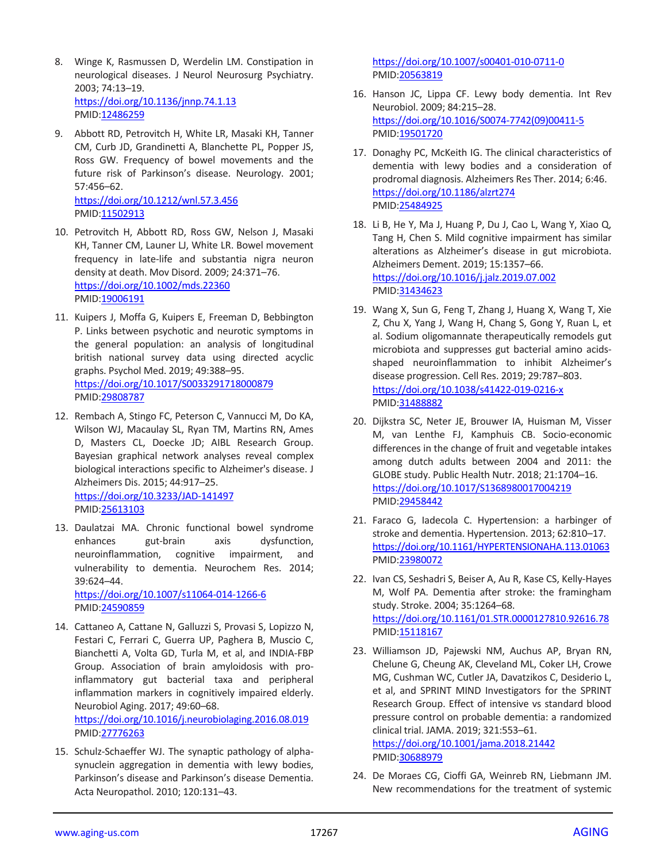- 8. Winge K, Rasmussen D, Werdelin LM. Constipation in neurological diseases. J Neurol Neurosurg Psychiatry. 2003; 74:13–19. <https://doi.org/10.1136/jnnp.74.1.13> PMID[:12486259](https://pubmed.ncbi.nlm.nih.gov/12486259)
- 9. Abbott RD, Petrovitch H, White LR, Masaki KH, Tanner CM, Curb JD, Grandinetti A, Blanchette PL, Popper JS, Ross GW. Frequency of bowel movements and the future risk of Parkinson's disease. Neurology. 2001; 57:456–62. <https://doi.org/10.1212/wnl.57.3.456> PMID[:11502913](https://pubmed.ncbi.nlm.nih.gov/11502913)
- 10. Petrovitch H, Abbott RD, Ross GW, Nelson J, Masaki KH, Tanner CM, Launer LJ, White LR. Bowel movement frequency in late-life and substantia nigra neuron density at death. Mov Disord. 2009; 24:371–76. <https://doi.org/10.1002/mds.22360> PMID[:19006191](https://pubmed.ncbi.nlm.nih.gov/19006191)
- 11. Kuipers J, Moffa G, Kuipers E, Freeman D, Bebbington P. Links between psychotic and neurotic symptoms in the general population: an analysis of longitudinal british national survey data using directed acyclic graphs. Psychol Med. 2019; 49:388–95. <https://doi.org/10.1017/S0033291718000879> PMID[:29808787](https://pubmed.ncbi.nlm.nih.gov/29808787)
- 12. Rembach A, Stingo FC, Peterson C, Vannucci M, Do KA, Wilson WJ, Macaulay SL, Ryan TM, Martins RN, Ames D, Masters CL, Doecke JD; AIBL Research Group. Bayesian graphical network analyses reveal complex biological interactions specific to Alzheimer's disease. J Alzheimers Dis. 2015; 44:917–25. <https://doi.org/10.3233/JAD-141497> PMID[:25613103](https://pubmed.ncbi.nlm.nih.gov/25613103)
- 13. Daulatzai MA. Chronic functional bowel syndrome enhances gut-brain axis dysfunction, neuroinflammation, cognitive impairment, and vulnerability to dementia. Neurochem Res. 2014; 39:624–44.

<https://doi.org/10.1007/s11064-014-1266-6> PMID[:24590859](https://pubmed.ncbi.nlm.nih.gov/24590859)

14. Cattaneo A, Cattane N, Galluzzi S, Provasi S, Lopizzo N, Festari C, Ferrari C, Guerra UP, Paghera B, Muscio C, Bianchetti A, Volta GD, Turla M, et al, and INDIA-FBP Group. Association of brain amyloidosis with proinflammatory gut bacterial taxa and peripheral inflammation markers in cognitively impaired elderly. Neurobiol Aging. 2017; 49:60–68. <https://doi.org/10.1016/j.neurobiolaging.2016.08.019>

PMID[:27776263](https://pubmed.ncbi.nlm.nih.gov/27776263)

15. Schulz-Schaeffer WJ. The synaptic pathology of alphasynuclein aggregation in dementia with lewy bodies, Parkinson's disease and Parkinson's disease Dementia. Acta Neuropathol. 2010; 120:131–43.

<https://doi.org/10.1007/s00401-010-0711-0> PMI[D:20563819](https://pubmed.ncbi.nlm.nih.gov/20563819)

- 16. Hanson JC, Lippa CF. Lewy body dementia. Int Rev Neurobiol. 2009; 84:215–28. [https://doi.org/10.1016/S0074-7742\(09\)00411-5](https://doi.org/10.1016/S0074-7742(09)00411-5) PMI[D:19501720](https://pubmed.ncbi.nlm.nih.gov/19501720)
- 17. Donaghy PC, McKeith IG. The clinical characteristics of dementia with lewy bodies and a consideration of prodromal diagnosis. Alzheimers Res Ther. 2014; 6:46. <https://doi.org/10.1186/alzrt274> PMI[D:25484925](https://pubmed.ncbi.nlm.nih.gov/25484925)
- 18. Li B, He Y, Ma J, Huang P, Du J, Cao L, Wang Y, Xiao Q, Tang H, Chen S. Mild cognitive impairment has similar alterations as Alzheimer's disease in gut microbiota. Alzheimers Dement. 2019; 15:1357–66. <https://doi.org/10.1016/j.jalz.2019.07.002> PMI[D:31434623](https://pubmed.ncbi.nlm.nih.gov/31434623)
- 19. Wang X, Sun G, Feng T, Zhang J, Huang X, Wang T, Xie Z, Chu X, Yang J, Wang H, Chang S, Gong Y, Ruan L, et al. Sodium oligomannate therapeutically remodels gut microbiota and suppresses gut bacterial amino acidsshaped neuroinflammation to inhibit Alzheimer's disease progression. Cell Res. 2019; 29:787–803. <https://doi.org/10.1038/s41422-019-0216-x> PMI[D:31488882](https://pubmed.ncbi.nlm.nih.gov/31488882)
- 20. Dijkstra SC, Neter JE, Brouwer IA, Huisman M, Visser M, van Lenthe FJ, Kamphuis CB. Socio-economic differences in the change of fruit and vegetable intakes among dutch adults between 2004 and 2011: the GLOBE study. Public Health Nutr. 2018; 21:1704–16. <https://doi.org/10.1017/S1368980017004219> PMI[D:29458442](https://pubmed.ncbi.nlm.nih.gov/29458442)
- 21. Faraco G, Iadecola C. Hypertension: a harbinger of stroke and dementia. Hypertension. 2013; 62:810–17. <https://doi.org/10.1161/HYPERTENSIONAHA.113.01063> PMI[D:23980072](https://pubmed.ncbi.nlm.nih.gov/23980072)
- 22. Ivan CS, Seshadri S, Beiser A, Au R, Kase CS, Kelly-Hayes M, Wolf PA. Dementia after stroke: the framingham study. Stroke. 2004; 35:1264–68. <https://doi.org/10.1161/01.STR.0000127810.92616.78> PMI[D:15118167](https://pubmed.ncbi.nlm.nih.gov/15118167)
- 23. Williamson JD, Pajewski NM, Auchus AP, Bryan RN, Chelune G, Cheung AK, Cleveland ML, Coker LH, Crowe MG, Cushman WC, Cutler JA, Davatzikos C, Desiderio L, et al, and SPRINT MIND Investigators for the SPRINT Research Group. Effect of intensive vs standard blood pressure control on probable dementia: a randomized clinical trial. JAMA. 2019; 321:553–61. <https://doi.org/10.1001/jama.2018.21442> PMI[D:30688979](https://pubmed.ncbi.nlm.nih.gov/30688979)
- 24. De Moraes CG, Cioffi GA, Weinreb RN, Liebmann JM. New recommendations for the treatment of systemic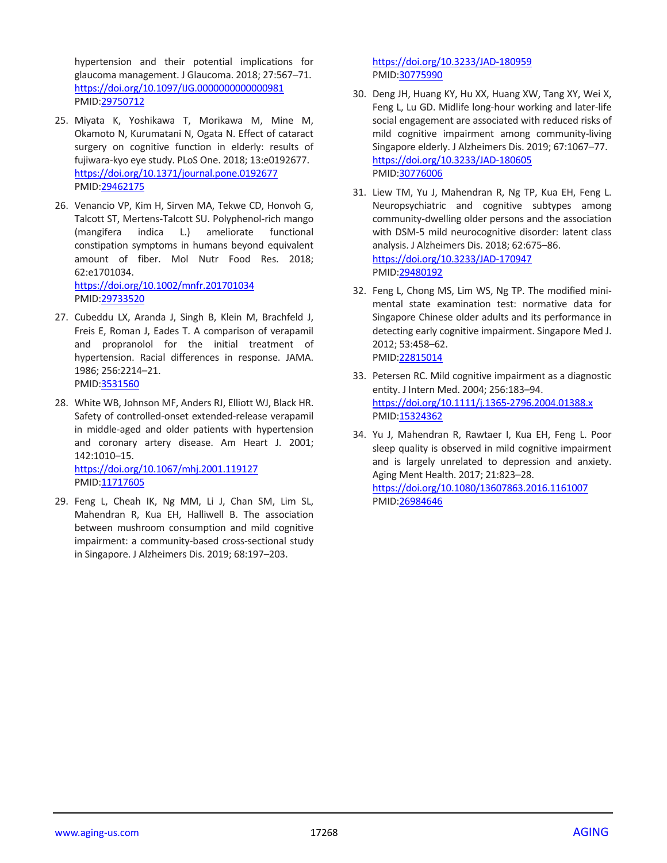hypertension and their potential implications for glaucoma management. J Glaucoma. 2018; 27:567–71. <https://doi.org/10.1097/IJG.0000000000000981> PMID[:29750712](https://pubmed.ncbi.nlm.nih.gov/29750712)

- 25. Miyata K, Yoshikawa T, Morikawa M, Mine M, Okamoto N, Kurumatani N, Ogata N. Effect of cataract surgery on cognitive function in elderly: results of fujiwara-kyo eye study. PLoS One. 2018; 13:e0192677. <https://doi.org/10.1371/journal.pone.0192677> PMID[:29462175](https://pubmed.ncbi.nlm.nih.gov/29462175)
- 26. Venancio VP, Kim H, Sirven MA, Tekwe CD, Honvoh G, Talcott ST, Mertens-Talcott SU. Polyphenol-rich mango (mangifera indica L.) ameliorate functional constipation symptoms in humans beyond equivalent amount of fiber. Mol Nutr Food Res. 2018; 62:e1701034. <https://doi.org/10.1002/mnfr.201701034>

PMID[:29733520](https://pubmed.ncbi.nlm.nih.gov/29733520)

- 27. Cubeddu LX, Aranda J, Singh B, Klein M, Brachfeld J, Freis E, Roman J, Eades T. A comparison of verapamil and propranolol for the initial treatment of hypertension. Racial differences in response. JAMA. 1986; 256:2214–21. PMID[:3531560](https://pubmed.ncbi.nlm.nih.gov/3531560)
- 28. White WB, Johnson MF, Anders RJ, Elliott WJ, Black HR. Safety of controlled-onset extended-release verapamil in middle-aged and older patients with hypertension and coronary artery disease. Am Heart J. 2001; 142:1010–15. <https://doi.org/10.1067/mhj.2001.119127> PMID[:11717605](https://pubmed.ncbi.nlm.nih.gov/11717605)
- 29. Feng L, Cheah IK, Ng MM, Li J, Chan SM, Lim SL, Mahendran R, Kua EH, Halliwell B. The association between mushroom consumption and mild cognitive impairment: a community-based cross-sectional study in Singapore. J Alzheimers Dis. 2019; 68:197–203.

<https://doi.org/10.3233/JAD-180959> PMI[D:30775990](https://pubmed.ncbi.nlm.nih.gov/30775990)

- 30. Deng JH, Huang KY, Hu XX, Huang XW, Tang XY, Wei X, Feng L, Lu GD. Midlife long-hour working and later-life social engagement are associated with reduced risks of mild cognitive impairment among community-living Singapore elderly. J Alzheimers Dis. 2019; 67:1067–77. <https://doi.org/10.3233/JAD-180605> PMI[D:30776006](https://pubmed.ncbi.nlm.nih.gov/30776006)
- 31. Liew TM, Yu J, Mahendran R, Ng TP, Kua EH, Feng L. Neuropsychiatric and cognitive subtypes among community-dwelling older persons and the association with DSM-5 mild neurocognitive disorder: latent class analysis. J Alzheimers Dis. 2018; 62:675–86. <https://doi.org/10.3233/JAD-170947> PMI[D:29480192](https://pubmed.ncbi.nlm.nih.gov/29480192)
- 32. Feng L, Chong MS, Lim WS, Ng TP. The modified minimental state examination test: normative data for Singapore Chinese older adults and its performance in detecting early cognitive impairment. Singapore Med J. 2012; 53:458–62. PMI[D:22815014](https://pubmed.ncbi.nlm.nih.gov/22815014)
- 33. Petersen RC. Mild cognitive impairment as a diagnostic entity. J Intern Med. 2004; 256:183–94. <https://doi.org/10.1111/j.1365-2796.2004.01388.x> PMI[D:15324362](https://pubmed.ncbi.nlm.nih.gov/15324362)
- 34. Yu J, Mahendran R, Rawtaer I, Kua EH, Feng L. Poor sleep quality is observed in mild cognitive impairment and is largely unrelated to depression and anxiety. Aging Ment Health. 2017; 21:823–28. <https://doi.org/10.1080/13607863.2016.1161007> PMI[D:26984646](https://pubmed.ncbi.nlm.nih.gov/26984646)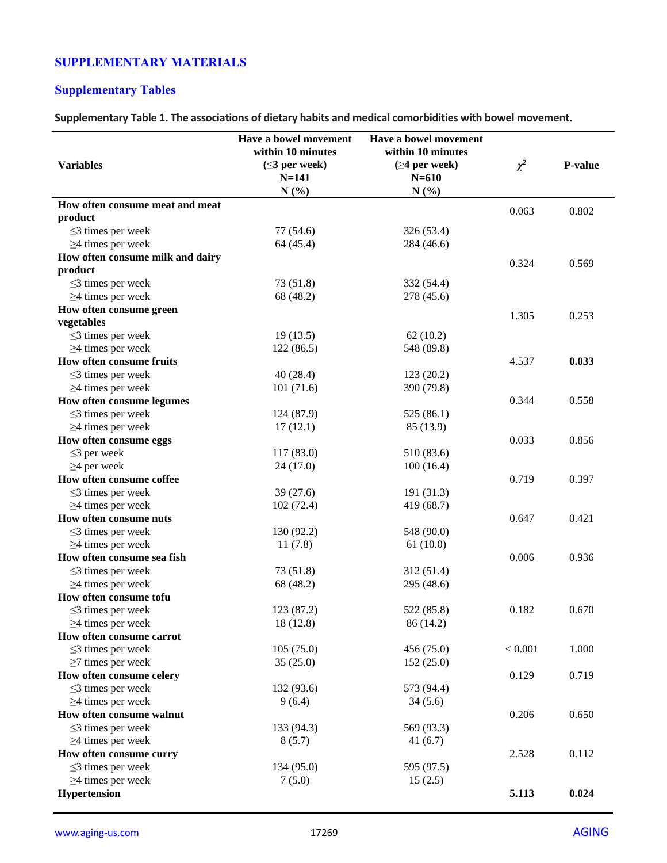## **SUPPLEMENTARY MATERIALS**

## **Supplementary Tables**

**Supplementary Table 1. The associations of dietary habits and medical comorbidities with bowel movement.**

|                                  | Have a bowel movement | Have a bowel movement |          |                |
|----------------------------------|-----------------------|-----------------------|----------|----------------|
|                                  | within 10 minutes     | within 10 minutes     |          |                |
| <b>Variables</b>                 | $(\leq$ 3 per week)   | $(\geq 4$ per week)   | $\chi^2$ | <b>P-value</b> |
|                                  | $N = 141$             | $N = 610$             |          |                |
|                                  | N(%)                  | N(%)                  |          |                |
| How often consume meat and meat  |                       |                       | 0.063    | 0.802          |
| product                          |                       |                       |          |                |
| $\leq$ 3 times per week          | 77 (54.6)             | 326 (53.4)            |          |                |
| $\geq$ 4 times per week          | 64 (45.4)             | 284 (46.6)            |          |                |
| How often consume milk and dairy |                       |                       | 0.324    | 0.569          |
| product                          |                       |                       |          |                |
| $\leq$ 3 times per week          | 73 (51.8)             | 332 (54.4)            |          |                |
| $\geq$ 4 times per week          | 68 (48.2)             | 278 (45.6)            |          |                |
| How often consume green          |                       |                       |          |                |
| vegetables                       |                       |                       | 1.305    | 0.253          |
| $\leq$ 3 times per week          | 19(13.5)              | 62(10.2)              |          |                |
| $\geq$ 4 times per week          | 122(86.5)             | 548 (89.8)            |          |                |
| How often consume fruits         |                       |                       | 4.537    | 0.033          |
| $\leq$ 3 times per week          | 40(28.4)              | 123(20.2)             |          |                |
| $\geq$ 4 times per week          | 101(71.6)             | 390 (79.8)            |          |                |
| How often consume legumes        |                       |                       | 0.344    | 0.558          |
| $\leq$ 3 times per week          | 124 (87.9)            | 525 (86.1)            |          |                |
| $\geq$ 4 times per week          | 17(12.1)              | 85 (13.9)             |          |                |
| How often consume eggs           |                       |                       | 0.033    | 0.856          |
| $\leq$ 3 per week                | 117 (83.0)            | 510 (83.6)            |          |                |
| $\geq$ 4 per week                | 24(17.0)              | 100(16.4)             |          |                |
| How often consume coffee         |                       |                       | 0.719    | 0.397          |
| $\leq$ 3 times per week          | 39(27.6)              | 191 (31.3)            |          |                |
| $\geq$ 4 times per week          | 102(72.4)             | 419 (68.7)            |          |                |
| How often consume nuts           |                       |                       | 0.647    | 0.421          |
| $\leq$ 3 times per week          | 130 (92.2)            | 548 (90.0)            |          |                |
| $\geq$ 4 times per week          | 11(7.8)               | 61(10.0)              |          |                |
| How often consume sea fish       |                       |                       | 0.006    | 0.936          |
| $\leq$ 3 times per week          | 73 (51.8)             | 312 (51.4)            |          |                |
| $\geq$ 4 times per week          | 68 (48.2)             | 295 (48.6)            |          |                |
| How often consume tofu           |                       |                       |          |                |
| $\leq$ 3 times per week          | 123 (87.2)            | 522 (85.8)            | 0.182    | 0.670          |
| $\geq$ 4 times per week          | 18 (12.8)             | 86 (14.2)             |          |                |
| How often consume carrot         |                       |                       |          |                |
| $\leq$ 3 times per week          | 105(75.0)             | 456 (75.0)            | < 0.001  | 1.000          |
| $\geq$ 7 times per week          | 35(25.0)              | 152(25.0)             |          |                |
| How often consume celery         |                       |                       | 0.129    | 0.719          |
| $\leq$ 3 times per week          | 132 (93.6)            | 573 (94.4)            |          |                |
| $\geq$ 4 times per week          | 9(6.4)                | 34(5.6)               |          |                |
| How often consume walnut         |                       |                       | 0.206    | 0.650          |
| $\leq$ 3 times per week          | 133 (94.3)            | 569 (93.3)            |          |                |
| $\geq$ 4 times per week          | 8(5.7)                | 41(6.7)               |          |                |
| How often consume curry          |                       |                       | 2.528    | 0.112          |
| $\leq$ 3 times per week          | 134 (95.0)            | 595 (97.5)            |          |                |
| $\geq$ 4 times per week          | 7(5.0)                | 15(2.5)               |          |                |
| Hypertension                     |                       |                       | 5.113    | 0.024          |
|                                  |                       |                       |          |                |